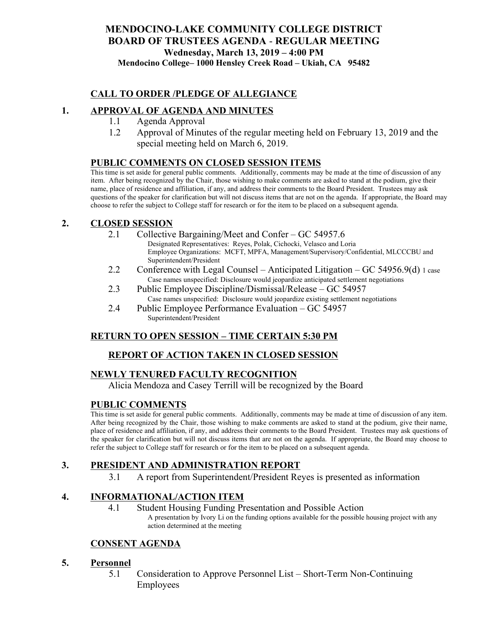#### **MENDOCINO-LAKE COMMUNITY COLLEGE DISTRICT BOARD OF TRUSTEES AGENDA** - **REGULAR MEETING Wednesday, March 13, 2019 – 4:00 PM Mendocino College– 1000 Hensley Creek Road – Ukiah, CA 95482**

#### **CALL TO ORDER /PLEDGE OF ALLEGIANCE**

#### **1. APPROVAL OF AGENDA AND MINUTES**

- 1.1 Agenda Approval
- 1.2 Approval of Minutes of the regular meeting held on February 13, 2019 and the special meeting held on March 6, 2019.

#### **PUBLIC COMMENTS ON CLOSED SESSION ITEMS**

This time is set aside for general public comments. Additionally, comments may be made at the time of discussion of any item. After being recognized by the Chair, those wishing to make comments are asked to stand at the podium, give their name, place of residence and affiliation, if any, and address their comments to the Board President. Trustees may ask questions of the speaker for clarification but will not discuss items that are not on the agenda. If appropriate, the Board may choose to refer the subject to College staff for research or for the item to be placed on a subsequent agenda.

#### **2. CLOSED SESSION**

- 2.1 Collective Bargaining/Meet and Confer GC 54957.6
	- Designated Representatives: Reyes, Polak, Cichocki, Velasco and Loria Employee Organizations: MCFT, MPFA, Management/Supervisory/Confidential, MLCCCBU and Superintendent/President
- 2.2 Conference with Legal Counsel Anticipated Litigation GC 54956.9(d) 1 case Case names unspecified: Disclosure would jeopardize anticipated settlement negotiations
- 2.3 Public Employee Discipline/Dismissal/Release GC 54957 Case names unspecified: Disclosure would jeopardize existing settlement negotiations
- 2.4 Public Employee Performance Evaluation GC 54957 Superintendent/President

## **RETURN TO OPEN SESSION – TIME CERTAIN 5:30 PM**

## **REPORT OF ACTION TAKEN IN CLOSED SESSION**

## **NEWLY TENURED FACULTY RECOGNITION**

Alicia Mendoza and Casey Terrill will be recognized by the Board

#### **PUBLIC COMMENTS**

This time is set aside for general public comments. Additionally, comments may be made at time of discussion of any item. After being recognized by the Chair, those wishing to make comments are asked to stand at the podium, give their name, place of residence and affiliation, if any, and address their comments to the Board President. Trustees may ask questions of the speaker for clarification but will not discuss items that are not on the agenda. If appropriate, the Board may choose to refer the subject to College staff for research or for the item to be placed on a subsequent agenda.

## **3. PRESIDENT AND ADMINISTRATION REPORT**

3.1 A report from Superintendent/President Reyes is presented as information

## **4. INFORMATIONAL/ACTION ITEM**

- 4.1 Student Housing Funding Presentation and Possible Action
	- A presentation by Ivory Li on the funding options available for the possible housing project with any action determined at the meeting

## **CONSENT AGENDA**

#### **5. Personnel**

5.1 Consideration to Approve Personnel List – Short-Term Non-Continuing Employees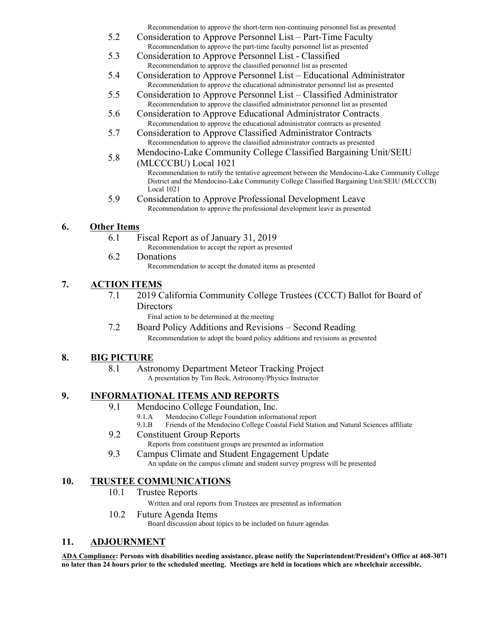Recommendation to approve the short-term non-continuing personnel list as presented

- 5.2 Consideration to Approve Personnel List Part-Time Faculty Recommendation to approve the part-time faculty personnel list as presented
- 5.3 Consideration to Approve Personnel List Classified Recommendation to approve the classified personnel list as presented
- 5.4 Consideration to Approve Personnel List Educational Administrator Recommendation to approve the educational administrator personnel list as presented
- 5.5 Consideration to Approve Personnel List Classified Administrator Recommendation to approve the classified administrator personnel list as presented
- 5.6 Consideration to Approve Educational Administrator Contracts Recommendation to approve the educational administrator contracts as presented
- 5.7 Consideration to Approve Classified Administrator Contracts Recommendation to approve the classified administrator contracts as presented
- 5.8 Mendocino-Lake Community College Classified Bargaining Unit/SEIU
	- (MLCCCBU) Local 1021 Recommendation to ratify the tentative agreement between the Mendocino-Lake Community College District and the Mendocino-Lake Community College Classified Bargaining Unit/SEIU (MLCCCB) Local 1021
- 5.9 Consideration to Approve Professional Development Leave Recommendation to approve the professional development leave as presented

# **6. Other Items**

- 6.1 Fiscal Report as of January 31, 2019
	- Recommendation to accept the report as presented
- 6.2 Donations
	- Recommendation to accept the donated items as presented

# **7. ACTION ITEMS**

7.1 2019 California Community College Trustees (CCCT) Ballot for Board of **Directors** 

Final action to be determined at the meeting

7.2 Board Policy Additions and Revisions – Second Reading Recommendation to adopt the board policy additions and revisions as presented

## **8. BIG PICTURE**

## 8.1 Astronomy Department Meteor Tracking Project

A presentation by Tim Beck, Astronomy/Physics Instructor

# **9. INFORMATIONAL ITEMS AND REPORTS**

- 9.1 Mendocino College Foundation, Inc.
	- 9.1.A Mendocino College Foundation informational report
	- 9.1.B Friends of the Mendocino College Coastal Field Station and Natural Sciences affiliate
- 9.2 Constituent Group Reports
	- Reports from constituent groups are presented as information
- 9.3 Campus Climate and Student Engagement Update An update on the campus climate and student survey progress will be presented

# **10. TRUSTEE COMMUNICATIONS**

10.1 Trustee Reports

Written and oral reports from Trustees are presented as information

10.2 Future Agenda Items

Board discussion about topics to be included on future agendas

# **11. ADJOURNMENT**

**ADA Compliance: Persons with disabilities needing assistance, please notify the Superintendent/President's Office at 468-3071 no later than 24 hours prior to the scheduled meeting. Meetings are held in locations which are wheelchair accessible.**